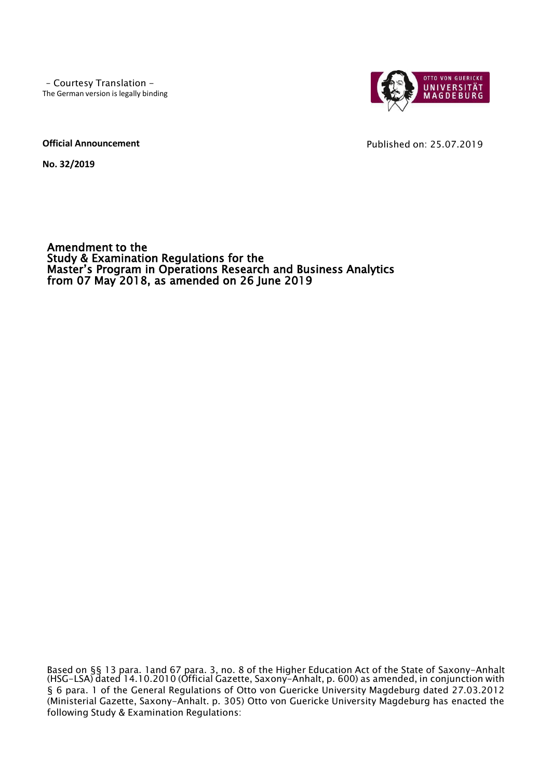– Courtesy Translation - The German version is legally binding



Published on: 25.07.2019

**Official Announcement**

**No. 32/2019**

Amendment to the Study & Examination Regulations for the Master's Program in Operations Research and Business Analytics from 07 May 2018, as amended on 26 June 2019

Based on §§ 13 para. 1and 67 para. 3, no. 8 of the Higher Education Act of the State of Saxony-Anhalt (HSG-LSA) dated 14.10.2010 (Official Gazette, Saxony-Anhalt, p. 600) as amended, in conjunction with § 6 para. 1 of the General Regulations of Otto von Guericke University Magdeburg dated 27.03.2012 (Ministerial Gazette, Saxony-Anhalt. p. 305) Otto von Guericke University Magdeburg has enacted the following Study & Examination Regulations: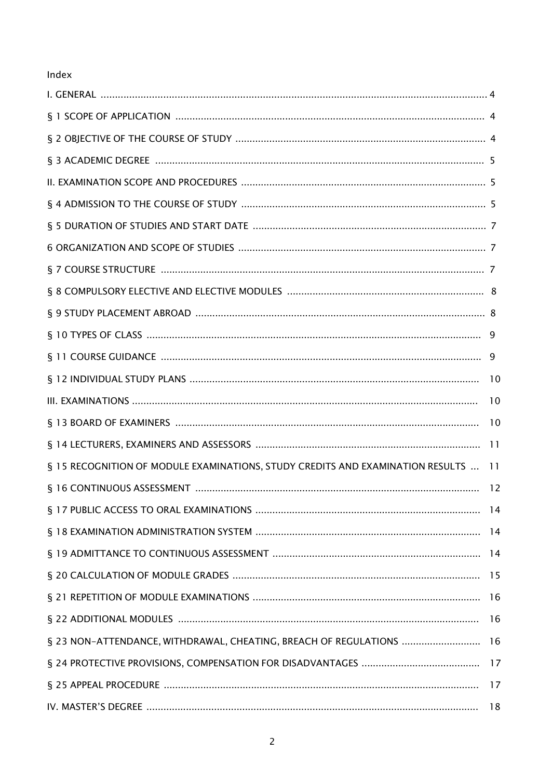# Index

| § 15 RECOGNITION OF MODULE EXAMINATIONS, STUDY CREDITS AND EXAMINATION RESULTS  11 |    |
|------------------------------------------------------------------------------------|----|
|                                                                                    |    |
|                                                                                    |    |
|                                                                                    |    |
|                                                                                    |    |
|                                                                                    |    |
|                                                                                    |    |
|                                                                                    |    |
| § 23 NON-ATTENDANCE, WITHDRAWAL, CHEATING, BREACH OF REGULATIONS  16               |    |
|                                                                                    |    |
|                                                                                    |    |
|                                                                                    | 18 |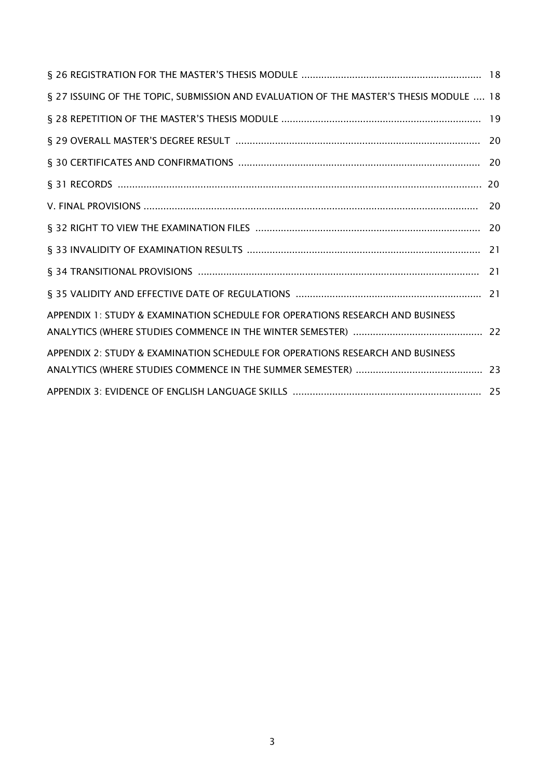| § 27 ISSUING OF THE TOPIC, SUBMISSION AND EVALUATION OF THE MASTER'S THESIS MODULE  18 |    |
|----------------------------------------------------------------------------------------|----|
|                                                                                        |    |
|                                                                                        |    |
|                                                                                        |    |
|                                                                                        |    |
|                                                                                        | 20 |
|                                                                                        |    |
|                                                                                        |    |
|                                                                                        |    |
|                                                                                        |    |
| APPENDIX 1: STUDY & EXAMINATION SCHEDULE FOR OPERATIONS RESEARCH AND BUSINESS          |    |
|                                                                                        |    |
| APPENDIX 2: STUDY & EXAMINATION SCHEDULE FOR OPERATIONS RESEARCH AND BUSINESS          |    |
|                                                                                        |    |
|                                                                                        |    |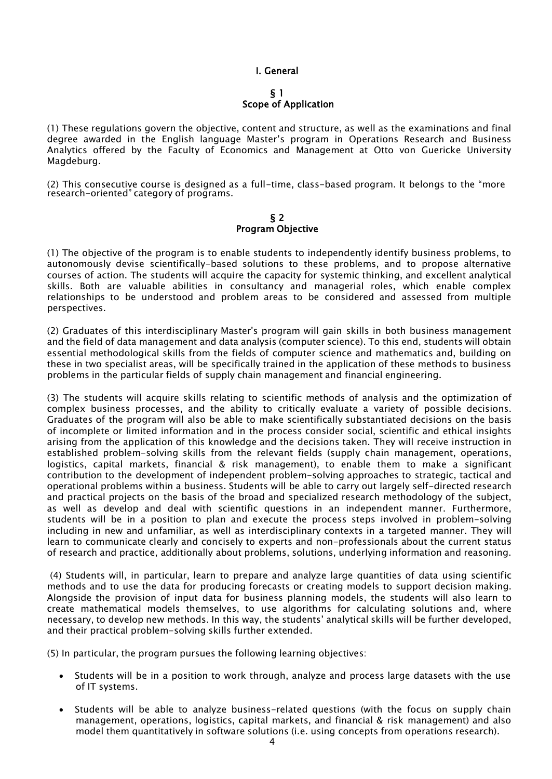## I. General

#### § 1 Scope of Application

(1) These regulations govern the objective, content and structure, as well as the examinations and final degree awarded in the English language Master's program in Operations Research and Business Analytics offered by the Faculty of Economics and Management at Otto von Guericke University Magdeburg.

(2) This consecutive course is designed as a full-time, class-based program. It belongs to the "more research-oriented" category of programs.

#### § 2 Program Objective

(1) The objective of the program is to enable students to independently identify business problems, to autonomously devise scientifically-based solutions to these problems, and to propose alternative courses of action. The students will acquire the capacity for systemic thinking, and excellent analytical skills. Both are valuable abilities in consultancy and managerial roles, which enable complex relationships to be understood and problem areas to be considered and assessed from multiple perspectives.

(2) Graduates of this interdisciplinary Master's program will gain skills in both business management and the field of data management and data analysis (computer science). To this end, students will obtain essential methodological skills from the fields of computer science and mathematics and, building on these in two specialist areas, will be specifically trained in the application of these methods to business problems in the particular fields of supply chain management and financial engineering.

(3) The students will acquire skills relating to scientific methods of analysis and the optimization of complex business processes, and the ability to critically evaluate a variety of possible decisions. Graduates of the program will also be able to make scientifically substantiated decisions on the basis of incomplete or limited information and in the process consider social, scientific and ethical insights arising from the application of this knowledge and the decisions taken. They will receive instruction in established problem-solving skills from the relevant fields (supply chain management, operations, logistics, capital markets, financial & risk management), to enable them to make a significant contribution to the development of independent problem-solving approaches to strategic, tactical and operational problems within a business. Students will be able to carry out largely self-directed research and practical projects on the basis of the broad and specialized research methodology of the subject, as well as develop and deal with scientific questions in an independent manner. Furthermore, students will be in a position to plan and execute the process steps involved in problem-solving including in new and unfamiliar, as well as interdisciplinary contexts in a targeted manner. They will learn to communicate clearly and concisely to experts and non-professionals about the current status of research and practice, additionally about problems, solutions, underlying information and reasoning.

(4) Students will, in particular, learn to prepare and analyze large quantities of data using scientific methods and to use the data for producing forecasts or creating models to support decision making. Alongside the provision of input data for business planning models, the students will also learn to create mathematical models themselves, to use algorithms for calculating solutions and, where necessary, to develop new methods. In this way, the students' analytical skills will be further developed, and their practical problem-solving skills further extended.

(5) In particular, the program pursues the following learning objectives:

- Students will be in a position to work through, analyze and process large datasets with the use of IT systems.
- Students will be able to analyze business-related questions (with the focus on supply chain management, operations, logistics, capital markets, and financial & risk management) and also model them quantitatively in software solutions (i.e. using concepts from operations research).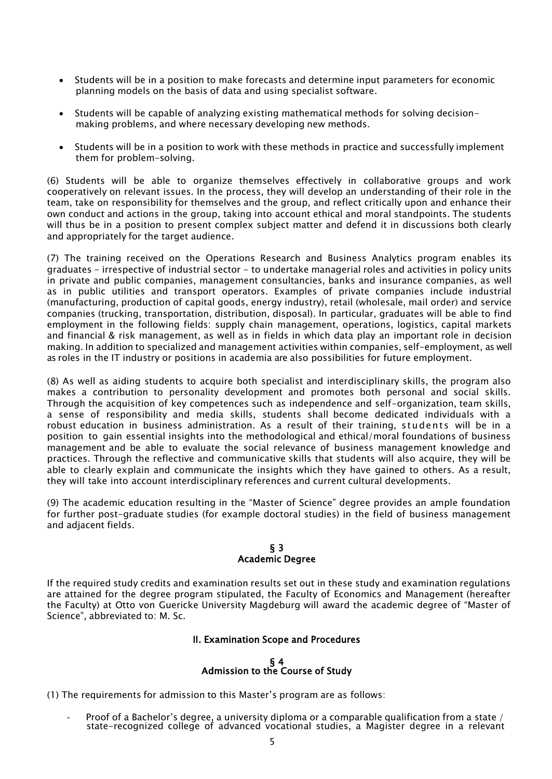- Students will be in a position to make forecasts and determine input parameters for economic planning models on the basis of data and using specialist software.
- Students will be capable of analyzing existing mathematical methods for solving decisionmaking problems, and where necessary developing new methods.
- Students will be in a position to work with these methods in practice and successfully implement them for problem-solving.

(6) Students will be able to organize themselves effectively in collaborative groups and work cooperatively on relevant issues. In the process, they will develop an understanding of their role in the team, take on responsibility for themselves and the group, and reflect critically upon and enhance their own conduct and actions in the group, taking into account ethical and moral standpoints. The students will thus be in a position to present complex subject matter and defend it in discussions both clearly and appropriately for the target audience.

(7) The training received on the Operations Research and Business Analytics program enables its graduates - irrespective of industrial sector - to undertake managerial roles and activities in policy units in private and public companies, management consultancies, banks and insurance companies, as well as in public utilities and transport operators. Examples of private companies include industrial (manufacturing, production of capital goods, energy industry), retail (wholesale, mail order) and service companies (trucking, transportation, distribution, disposal). In particular, graduates will be able to find employment in the following fields: supply chain management, operations, logistics, capital markets and financial & risk management, as well as in fields in which data play an important role in decision making. In addition to specialized and management activities within companies, self-employment, as well as roles in the IT industry or positions in academia are also possibilities for future employment.

(8) As well as aiding students to acquire both specialist and interdisciplinary skills, the program also makes a contribution to personality development and promotes both personal and social skills. Through the acquisition of key competences such as independence and self-organization, team skills, a sense of responsibility and media skills, students shall become dedicated individuals with a robust education in business administration. As a result of their training, students will be in a position to gain essential insights into the methodological and ethical/moral foundations of business management and be able to evaluate the social relevance of business management knowledge and practices. Through the reflective and communicative skills that students will also acquire, they will be able to clearly explain and communicate the insights which they have gained to others. As a result, they will take into account interdisciplinary references and current cultural developments.

(9) The academic education resulting in the "Master of Science" degree provides an ample foundation for further post-graduate studies (for example doctoral studies) in the field of business management and adjacent fields.

### § 3 Academic Degree

If the required study credits and examination results set out in these study and examination regulations are attained for the degree program stipulated, the Faculty of Economics and Management (hereafter the Faculty) at Otto von Guericke University Magdeburg will award the academic degree of "Master of Science", abbreviated to: M. Sc.

## II. Examination Scope and Procedures

#### § 4 Admission to the Course of Study

(1) The requirements for admission to this Master's program are as follows:

-  $\;\;\;$  Proof of a Bachelor's degree, a university diploma or a comparable qualification from a state / state-recognized college of advanced vocational studies, a Magister degree in a relevant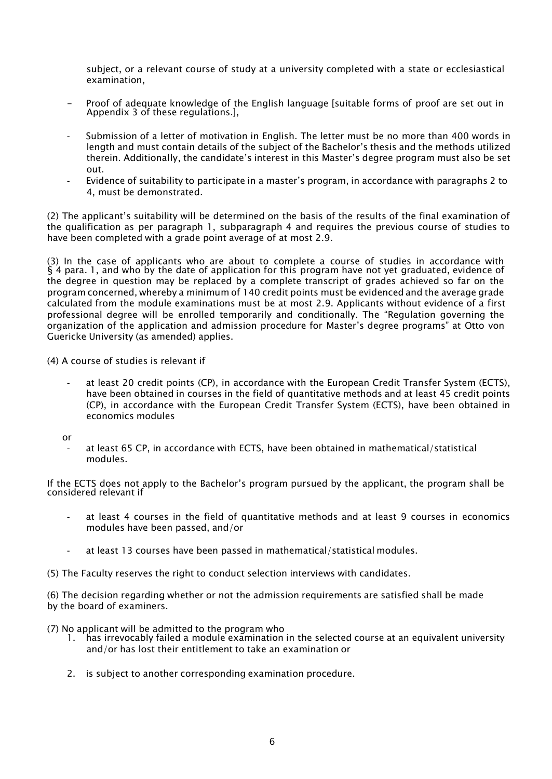subject, or a relevant course of study at a university completed with a state or ecclesiastical examination,

- Proof of adequate knowledge of the English language [suitable forms of proof are set out in Appendix 3 of these regulations.],
- Submission of a letter of motivation in English. The letter must be no more than 400 words in length and must contain details of the subject of the Bachelor's thesis and the methods utilized therein. Additionally, the candidate's interest in this Master's degree program must also be set out.
- Evidence of suitability to participate in a master's program, in accordance with paragraphs 2 to 4, must be demonstrated.

(2) The applicant's suitability will be determined on the basis of the results of the final examination of the qualification as per paragraph 1, subparagraph 4 and requires the previous course of studies to have been completed with a grade point average of at most 2.9.

(3) In the case of applicants who are about to complete a course of studies in accordance with § 4 para. 1, and who by the date of application for this program have not yet graduated, evidence of the degree in question may be replaced by a complete transcript of grades achieved so far on the program concerned, whereby a minimum of 140 credit points must be evidenced and the average grade calculated from the module examinations must be at most 2.9. Applicants without evidence of a first professional degree will be enrolled temporarily and conditionally. The "Regulation governing the organization of the application and admission procedure for Master's degree programs" at Otto von Guericke University (as amended) applies.

(4) A course of studies is relevant if

- at least 20 credit points (CP), in accordance with the European Credit Transfer System (ECTS), have been obtained in courses in the field of quantitative methods and at least 45 credit points (CP), in accordance with the European Credit Transfer System (ECTS), have been obtained in economics modules
- or
	- at least 65 CP, in accordance with ECTS, have been obtained in mathematical/statistical modules.

If the ECTS does not apply to the Bachelor's program pursued by the applicant, the program shall be considered relevant if

- at least 4 courses in the field of quantitative methods and at least 9 courses in economics modules have been passed, and/or
- at least 13 courses have been passed in mathematical/statistical modules.

(5) The Faculty reserves the right to conduct selection interviews with candidates.

(6) The decision regarding whether or not the admission requirements are satisfied shall be made by the board of examiners.

- (7) No applicant will be admitted to the program who
	- 1. has irrevocably failed a module examination in the selected course at an equivalent university and/or has lost their entitlement to take an examination or
	- 2. is subject to another corresponding examination procedure.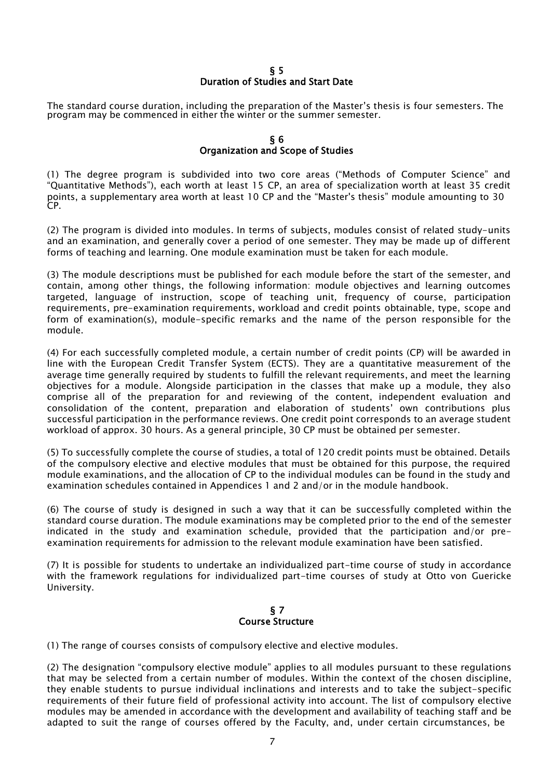## § 5 Duration of Studies and Start Date

The standard course duration, including the preparation of the Master's thesis is four semesters. The program may be commenced in either the winter or the summer semester.

## § 6 Organization and Scope of Studies

(1) The degree program is subdivided into two core areas ("Methods of Computer Science" and "Quantitative Methods"), each worth at least 15 CP, an area of specialization worth at least 35 credit points, a supplementary area worth at least 10 CP and the "Master's thesis" module amounting to 30 CP.

(2) The program is divided into modules. In terms of subjects, modules consist of related study-units and an examination, and generally cover a period of one semester. They may be made up of different forms of teaching and learning. One module examination must be taken for each module.

(3) The module descriptions must be published for each module before the start of the semester, and contain, among other things, the following information: module objectives and learning outcomes targeted, language of instruction, scope of teaching unit, frequency of course, participation requirements, pre-examination requirements, workload and credit points obtainable, type, scope and form of examination(s), module-specific remarks and the name of the person responsible for the module.

(4) For each successfully completed module, a certain number of credit points (CP) will be awarded in line with the European Credit Transfer System (ECTS). They are a quantitative measurement of the average time generally required by students to fulfill the relevant requirements, and meet the learning objectives for a module. Alongside participation in the classes that make up a module, they also comprise all of the preparation for and reviewing of the content, independent evaluation and consolidation of the content, preparation and elaboration of students' own contributions plus successful participation in the performance reviews. One credit point corresponds to an average student workload of approx. 30 hours. As a general principle, 30 CP must be obtained per semester.

(5) To successfully complete the course of studies, a total of 120 credit points must be obtained. Details of the compulsory elective and elective modules that must be obtained for this purpose, the required module examinations, and the allocation of CP to the individual modules can be found in the study and examination schedules contained in Appendices 1 and 2 and/or in the module handbook.

(6) The course of study is designed in such a way that it can be successfully completed within the standard course duration. The module examinations may be completed prior to the end of the semester indicated in the study and examination schedule, provided that the participation and/or preexamination requirements for admission to the relevant module examination have been satisfied.

(7) It is possible for students to undertake an individualized part-time course of study in accordance with the framework regulations for individualized part-time courses of study at Otto von Guericke University.

### § 7 Course Structure

(1) The range of courses consists of compulsory elective and elective modules.

(2) The designation "compulsory elective module" applies to all modules pursuant to these regulations that may be selected from a certain number of modules. Within the context of the chosen discipline, they enable students to pursue individual inclinations and interests and to take the subject-specific requirements of their future field of professional activity into account. The list of compulsory elective modules may be amended in accordance with the development and availability of teaching staff and be adapted to suit the range of courses offered by the Faculty, and, under certain circumstances, be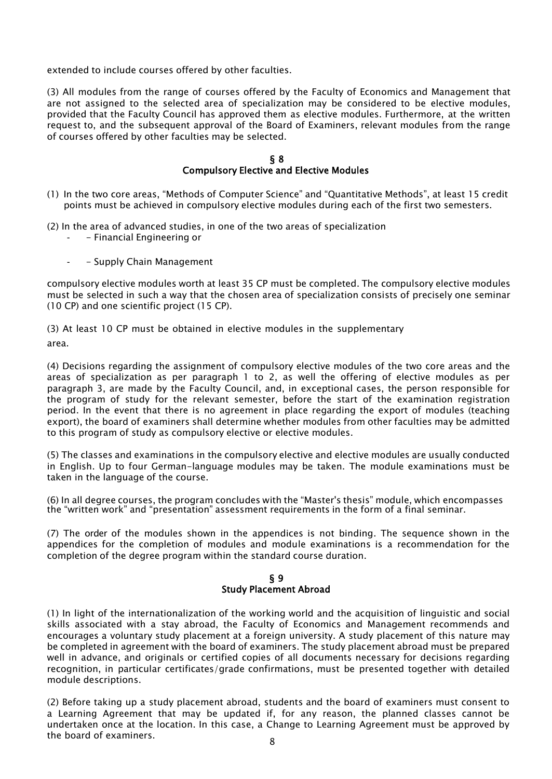extended to include courses offered by other faculties.

(3) All modules from the range of courses offered by the Faculty of Economics and Management that are not assigned to the selected area of specialization may be considered to be elective modules, provided that the Faculty Council has approved them as elective modules. Furthermore, at the written request to, and the subsequent approval of the Board of Examiners, relevant modules from the range of courses offered by other faculties may be selected.

#### § 8 Compulsory Elective and Elective Modules

- (1) In the two core areas, "Methods of Computer Science" and "Quantitative Methods", at least 15 credit points must be achieved in compulsory elective modules during each of the first two semesters.
- (2) In the area of advanced studies, in one of the two areas of specialization
	- Financial Engineering or
	- Supply Chain Management

compulsory elective modules worth at least 35 CP must be completed. The compulsory elective modules must be selected in such a way that the chosen area of specialization consists of precisely one seminar (10 CP) and one scientific project (15 CP).

(3) At least 10 CP must be obtained in elective modules in the supplementary area.

(4) Decisions regarding the assignment of compulsory elective modules of the two core areas and the areas of specialization as per paragraph 1 to 2, as well the offering of elective modules as per paragraph 3, are made by the Faculty Council, and, in exceptional cases, the person responsible for the program of study for the relevant semester, before the start of the examination registration period. In the event that there is no agreement in place regarding the export of modules (teaching export), the board of examiners shall determine whether modules from other faculties may be admitted to this program of study as compulsory elective or elective modules.

(5) The classes and examinations in the compulsory elective and elective modules are usually conducted in English. Up to four German-language modules may be taken. The module examinations must be taken in the language of the course.

(6) In all degree courses, the program concludes with the "Master's thesis" module, which encompasses the "written work" and "presentation" assessment requirements in the form of a final seminar.

(7) The order of the modules shown in the appendices is not binding. The sequence shown in the appendices for the completion of modules and module examinations is a recommendation for the completion of the degree program within the standard course duration.

### § 9 Study Placement Abroad

(1) In light of the internationalization of the working world and the acquisition of linguistic and social skills associated with a stay abroad, the Faculty of Economics and Management recommends and encourages a voluntary study placement at a foreign university. A study placement of this nature may be completed in agreement with the board of examiners. The study placement abroad must be prepared well in advance, and originals or certified copies of all documents necessary for decisions regarding recognition, in particular certificates/grade confirmations, must be presented together with detailed module descriptions.

(2) Before taking up a study placement abroad, students and the board of examiners must consent to a Learning Agreement that may be updated if, for any reason, the planned classes cannot be undertaken once at the location. In this case, a Change to Learning Agreement must be approved by the board of examiners.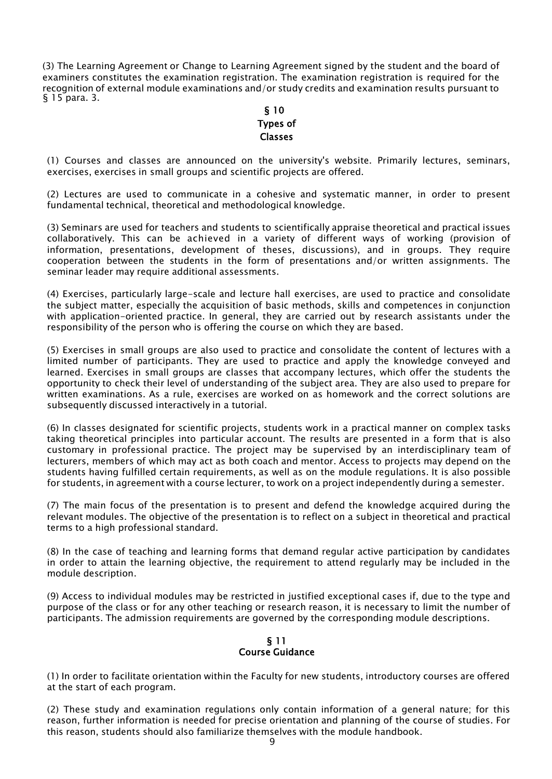(3) The Learning Agreement or Change to Learning Agreement signed by the student and the board of examiners constitutes the examination registration. The examination registration is required for the recognition of external module examinations and/or study credits and examination results pursuant to § 15 para. 3.

## § 10 Types of Classes

(1) Courses and classes are announced on the university's website. Primarily lectures, seminars, exercises, exercises in small groups and scientific projects are offered.

(2) Lectures are used to communicate in a cohesive and systematic manner, in order to present fundamental technical, theoretical and methodological knowledge.

(3) Seminars are used for teachers and students to scientifically appraise theoretical and practical issues collaboratively. This can be achieved in a variety of different ways of working (provision of information, presentations, development of theses, discussions), and in groups. They require cooperation between the students in the form of presentations and/or written assignments. The seminar leader may require additional assessments.

(4) Exercises, particularly large-scale and lecture hall exercises, are used to practice and consolidate the subject matter, especially the acquisition of basic methods, skills and competences in conjunction with application-oriented practice. In general, they are carried out by research assistants under the responsibility of the person who is offering the course on which they are based.

(5) Exercises in small groups are also used to practice and consolidate the content of lectures with a limited number of participants. They are used to practice and apply the knowledge conveyed and learned. Exercises in small groups are classes that accompany lectures, which offer the students the opportunity to check their level of understanding of the subject area. They are also used to prepare for written examinations. As a rule, exercises are worked on as homework and the correct solutions are subsequently discussed interactively in a tutorial.

(6) In classes designated for scientific projects, students work in a practical manner on complex tasks taking theoretical principles into particular account. The results are presented in a form that is also customary in professional practice. The project may be supervised by an interdisciplinary team of lecturers, members of which may act as both coach and mentor. Access to projects may depend on the students having fulfilled certain requirements, as well as on the module regulations. It is also possible for students, in agreement with a course lecturer, to work on a project independently during a semester.

(7) The main focus of the presentation is to present and defend the knowledge acquired during the relevant modules. The objective of the presentation is to reflect on a subject in theoretical and practical terms to a high professional standard.

(8) In the case of teaching and learning forms that demand regular active participation by candidates in order to attain the learning objective, the requirement to attend regularly may be included in the module description.

(9) Access to individual modules may be restricted in justified exceptional cases if, due to the type and purpose of the class or for any other teaching or research reason, it is necessary to limit the number of participants. The admission requirements are governed by the corresponding module descriptions.

## § 11 Course Guidance

(1) In order to facilitate orientation within the Faculty for new students, introductory courses are offered at the start of each program.

(2) These study and examination regulations only contain information of a general nature; for this reason, further information is needed for precise orientation and planning of the course of studies. For this reason, students should also familiarize themselves with the module handbook.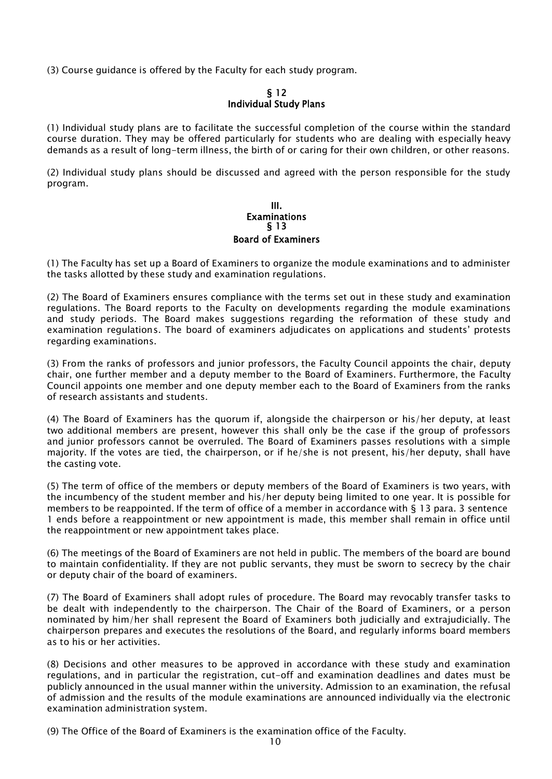(3) Course guidance is offered by the Faculty for each study program.

## § 12 Individual Study Plans

(1) Individual study plans are to facilitate the successful completion of the course within the standard course duration. They may be offered particularly for students who are dealing with especially heavy demands as a result of long-term illness, the birth of or caring for their own children, or other reasons.

(2) Individual study plans should be discussed and agreed with the person responsible for the study program.

#### III. Examinations § 13 Board of Examiners

(1) The Faculty has set up a Board of Examiners to organize the module examinations and to administer the tasks allotted by these study and examination regulations.

(2) The Board of Examiners ensures compliance with the terms set out in these study and examination regulations. The Board reports to the Faculty on developments regarding the module examinations and study periods. The Board makes suggestions regarding the reformation of these study and examination regulations. The board of examiners adjudicates on applications and students' protests regarding examinations.

(3) From the ranks of professors and junior professors, the Faculty Council appoints the chair, deputy chair, one further member and a deputy member to the Board of Examiners. Furthermore, the Faculty Council appoints one member and one deputy member each to the Board of Examiners from the ranks of research assistants and students.

(4) The Board of Examiners has the quorum if, alongside the chairperson or his/her deputy, at least two additional members are present, however this shall only be the case if the group of professors and junior professors cannot be overruled. The Board of Examiners passes resolutions with a simple majority. If the votes are tied, the chairperson, or if he/she is not present, his/her deputy, shall have the casting vote.

(5) The term of office of the members or deputy members of the Board of Examiners is two years, with the incumbency of the student member and his/her deputy being limited to one year. It is possible for members to be reappointed. If the term of office of a member in accordance with § 13 para. 3 sentence 1 ends before a reappointment or new appointment is made, this member shall remain in office until the reappointment or new appointment takes place.

(6) The meetings of the Board of Examiners are not held in public. The members of the board are bound to maintain confidentiality. If they are not public servants, they must be sworn to secrecy by the chair or deputy chair of the board of examiners.

(7) The Board of Examiners shall adopt rules of procedure. The Board may revocably transfer tasks to be dealt with independently to the chairperson. The Chair of the Board of Examiners, or a person nominated by him/her shall represent the Board of Examiners both judicially and extrajudicially. The chairperson prepares and executes the resolutions of the Board, and regularly informs board members as to his or her activities.

(8) Decisions and other measures to be approved in accordance with these study and examination regulations, and in particular the registration, cut-off and examination deadlines and dates must be publicly announced in the usual manner within the university. Admission to an examination, the refusal of admission and the results of the module examinations are announced individually via the electronic examination administration system.

(9) The Office of the Board of Examiners is the examination office of the Faculty.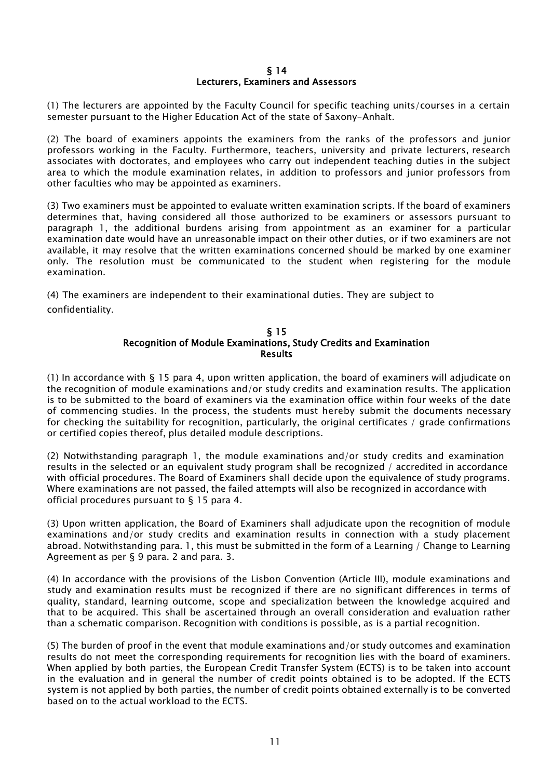#### § 14 Lecturers, Examiners and Assessors

(1) The lecturers are appointed by the Faculty Council for specific teaching units/courses in a certain semester pursuant to the Higher Education Act of the state of Saxony-Anhalt.

(2) The board of examiners appoints the examiners from the ranks of the professors and junior professors working in the Faculty. Furthermore, teachers, university and private lecturers, research associates with doctorates, and employees who carry out independent teaching duties in the subject area to which the module examination relates, in addition to professors and junior professors from other faculties who may be appointed as examiners.

(3) Two examiners must be appointed to evaluate written examination scripts. If the board of examiners determines that, having considered all those authorized to be examiners or assessors pursuant to paragraph 1, the additional burdens arising from appointment as an examiner for a particular examination date would have an unreasonable impact on their other duties, or if two examiners are not available, it may resolve that the written examinations concerned should be marked by one examiner only. The resolution must be communicated to the student when registering for the module examination.

(4) The examiners are independent to their examinational duties. They are subject to confidentiality.

### § 15 Recognition of Module Examinations, Study Credits and Examination Results

(1) In accordance with § 15 para 4, upon written application, the board of examiners will adjudicate on the recognition of module examinations and/or study credits and examination results. The application is to be submitted to the board of examiners via the examination office within four weeks of the date of commencing studies. In the process, the students must hereby submit the documents necessary for checking the suitability for recognition, particularly, the original certificates / grade confirmations or certified copies thereof, plus detailed module descriptions.

(2) Notwithstanding paragraph 1, the module examinations and/or study credits and examination results in the selected or an equivalent study program shall be recognized / accredited in accordance with official procedures. The Board of Examiners shall decide upon the equivalence of study programs. Where examinations are not passed, the failed attempts will also be recognized in accordance with official procedures pursuant to § 15 para 4.

(3) Upon written application, the Board of Examiners shall adjudicate upon the recognition of module examinations and/or study credits and examination results in connection with a study placement abroad. Notwithstanding para. 1, this must be submitted in the form of a Learning / Change to Learning Agreement as per § 9 para. 2 and para. 3.

(4) In accordance with the provisions of the Lisbon Convention (Article III), module examinations and study and examination results must be recognized if there are no significant differences in terms of quality, standard, learning outcome, scope and specialization between the knowledge acquired and that to be acquired. This shall be ascertained through an overall consideration and evaluation rather than a schematic comparison. Recognition with conditions is possible, as is a partial recognition.

(5) The burden of proof in the event that module examinations and/or study outcomes and examination results do not meet the corresponding requirements for recognition lies with the board of examiners. When applied by both parties, the European Credit Transfer System (ECTS) is to be taken into account in the evaluation and in general the number of credit points obtained is to be adopted. If the ECTS system is not applied by both parties, the number of credit points obtained externally is to be converted based on to the actual workload to the ECTS.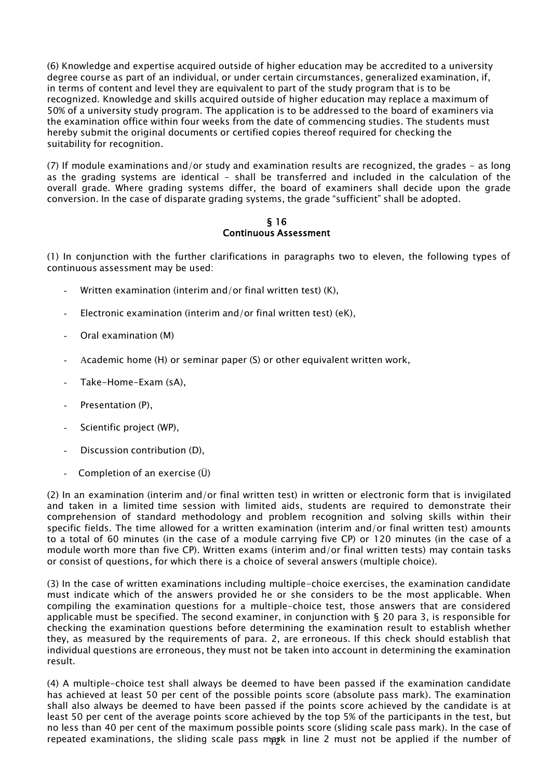(6) Knowledge and expertise acquired outside of higher education may be accredited to a university degree course as part of an individual, or under certain circumstances, generalized examination, if, in terms of content and level they are equivalent to part of the study program that is to be recognized. Knowledge and skills acquired outside of higher education may replace a maximum of 50% of a university study program. The application is to be addressed to the board of examiners via the examination office within four weeks from the date of commencing studies. The students must hereby submit the original documents or certified copies thereof required for checking the suitability for recognition.

(7) If module examinations and/or study and examination results are recognized, the grades - as long as the grading systems are identical - shall be transferred and included in the calculation of the overall grade. Where grading systems differ, the board of examiners shall decide upon the grade conversion. In the case of disparate grading systems, the grade "sufficient" shall be adopted.

## § 16 Continuous Assessment

(1) In conjunction with the further clarifications in paragraphs two to eleven, the following types of continuous assessment may be used:

- Written examination (interim and/or final written test)  $(K)$ ,
- Electronic examination (interim and/or final written test) (eK),
- Oral examination (M)
- Academic home (H) or seminar paper (S) or other equivalent written work,
- Take-Home-Exam (sA),
- Presentation (P),
- Scientific project (WP),
- Discussion contribution (D),
- Completion of an exercise  $(\ddot{\mathsf{U}})$

(2) In an examination (interim and/or final written test) in written or electronic form that is invigilated and taken in a limited time session with limited aids, students are required to demonstrate their comprehension of standard methodology and problem recognition and solving skills within their specific fields. The time allowed for a written examination (interim and/or final written test) amounts to a total of 60 minutes (in the case of a module carrying five CP) or 120 minutes (in the case of a module worth more than five CP). Written exams (interim and/or final written tests) may contain tasks or consist of questions, for which there is a choice of several answers (multiple choice).

(3) In the case of written examinations including multiple-choice exercises, the examination candidate must indicate which of the answers provided he or she considers to be the most applicable. When compiling the examination questions for a multiple-choice test, those answers that are considered applicable must be specified. The second examiner, in conjunction with  $\S$  20 para 3, is responsible for checking the examination questions before determining the examination result to establish whether they, as measured by the requirements of para. 2, are erroneous. If this check should establish that individual questions are erroneous, they must not be taken into account in determining the examination result.

repeated examinations, the sliding scale pass mayk in line 2 must not be applied if the number of (4) A multiple-choice test shall always be deemed to have been passed if the examination candidate has achieved at least 50 per cent of the possible points score (absolute pass mark). The examination shall also always be deemed to have been passed if the points score achieved by the candidate is at least 50 per cent of the average points score achieved by the top 5% of the participants in the test, but no less than 40 per cent of the maximum possible points score (sliding scale pass mark). In the case of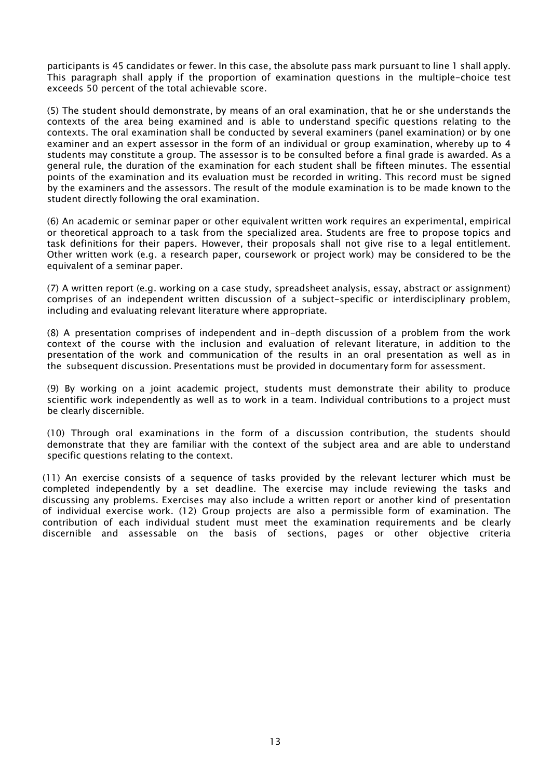participants is 45 candidates or fewer. In this case, the absolute pass mark pursuant to line 1 shall apply. This paragraph shall apply if the proportion of examination questions in the multiple-choice test exceeds 50 percent of the total achievable score.

(5) The student should demonstrate, by means of an oral examination, that he or she understands the contexts of the area being examined and is able to understand specific questions relating to the contexts. The oral examination shall be conducted by several examiners (panel examination) or by one examiner and an expert assessor in the form of an individual or group examination, whereby up to 4 students may constitute a group. The assessor is to be consulted before a final grade is awarded. As a general rule, the duration of the examination for each student shall be fifteen minutes. The essential points of the examination and its evaluation must be recorded in writing. This record must be signed by the examiners and the assessors. The result of the module examination is to be made known to the student directly following the oral examination.

(6) An academic or seminar paper or other equivalent written work requires an experimental, empirical or theoretical approach to a task from the specialized area. Students are free to propose topics and task definitions for their papers. However, their proposals shall not give rise to a legal entitlement. Other written work (e.g. a research paper, coursework or project work) may be considered to be the equivalent of a seminar paper.

(7) A written report (e.g. working on a case study, spreadsheet analysis, essay, abstract or assignment) comprises of an independent written discussion of a subject-specific or interdisciplinary problem, including and evaluating relevant literature where appropriate.

(8) A presentation comprises of independent and in-depth discussion of a problem from the work context of the course with the inclusion and evaluation of relevant literature, in addition to the presentation of the work and communication of the results in an oral presentation as well as in the subsequent discussion. Presentations must be provided in documentary form for assessment.

(9) By working on a joint academic project, students must demonstrate their ability to produce scientific work independently as well as to work in a team. Individual contributions to a project must be clearly discernible.

(10) Through oral examinations in the form of a discussion contribution, the students should demonstrate that they are familiar with the context of the subject area and are able to understand specific questions relating to the context.

(11) An exercise consists of a sequence of tasks provided by the relevant lecturer which must be completed independently by a set deadline. The exercise may include reviewing the tasks and discussing any problems. Exercises may also include a written report or another kind of presentation of individual exercise work. (12) Group projects are also a permissible form of examination. The contribution of each individual student must meet the examination requirements and be clearly discernible and assessable on the basis of sections, pages or other objective criteria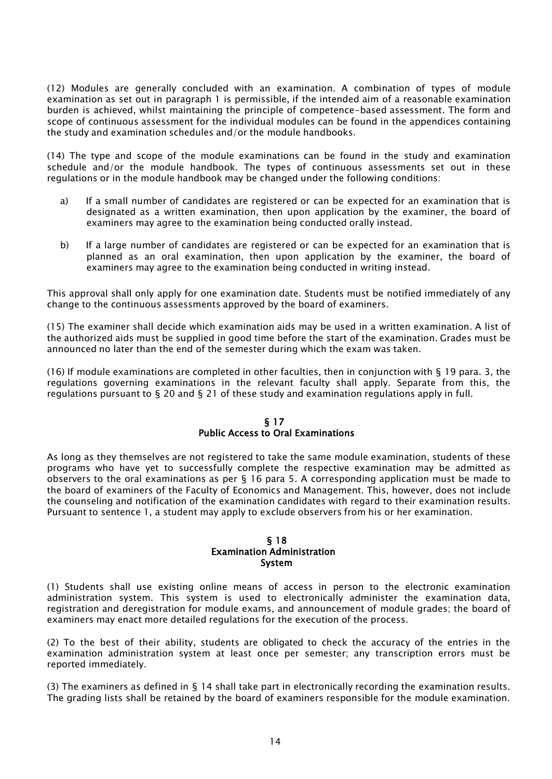(12) Modules are generally concluded with an examination. A combination of types of module examination as set out in paragraph 1 is permissible, if the intended aim of a reasonable examination burden is achieved, whilst maintaining the principle of competence-based assessment. The form and scope of continuous assessment for the individual modules can be found in the appendices containing the study and examination schedules and/or the module handbooks.

(14) The type and scope of the module examinations can be found in the study and examination schedule and/or the module handbook. The types of continuous assessments set out in these regulations or in the module handbook may be changed under the following conditions:

- a) If a small number of candidates are registered or can be expected for an examination that is designated as a written examination, then upon application by the examiner, the board of examiners may agree to the examination being conducted orally instead.
- b) If a large number of candidates are registered or can be expected for an examination that is planned as an oral examination, then upon application by the examiner, the board of examiners may agree to the examination being conducted in writing instead.

This approval shall only apply for one examination date. Students must be notified immediately of any change to the continuous assessments approved by the board of examiners.

(15) The examiner shall decide which examination aids may be used in a written examination. A list of the authorized aids must be supplied in good time before the start of the examination. Grades must be announced no later than the end of the semester during which the exam was taken.

(16) If module examinations are completed in other faculties, then in conjunction with § 19 para. 3, the regulations governing examinations in the relevant faculty shall apply. Separate from this, the regulations pursuant to  $\S$  20 and  $\S$  21 of these study and examination regulations apply in full.

## § 17 Public Access to Oral Examinations

As long as they themselves are not registered to take the same module examination, students of these programs who have yet to successfully complete the respective examination may be admitted as observers to the oral examinations as per  $\S$  16 para 5. A corresponding application must be made to the board of examiners of the Faculty of Economics and Management. This, however, does not include the counseling and notification of the examination candidates with regard to their examination results. Pursuant to sentence 1, a student may apply to exclude observers from his or her examination.

#### § 18 Examination Administration System

(1) Students shall use existing online means of access in person to the electronic examination administration system. This system is used to electronically administer the examination data, registration and deregistration for module exams, and announcement of module grades; the board of examiners may enact more detailed regulations for the execution of the process.

(2) To the best of their ability, students are obligated to check the accuracy of the entries in the examination administration system at least once per semester; any transcription errors must be reported immediately.

(3) The examiners as defined in  $\S$  14 shall take part in electronically recording the examination results. The grading lists shall be retained by the board of examiners responsible for the module examination.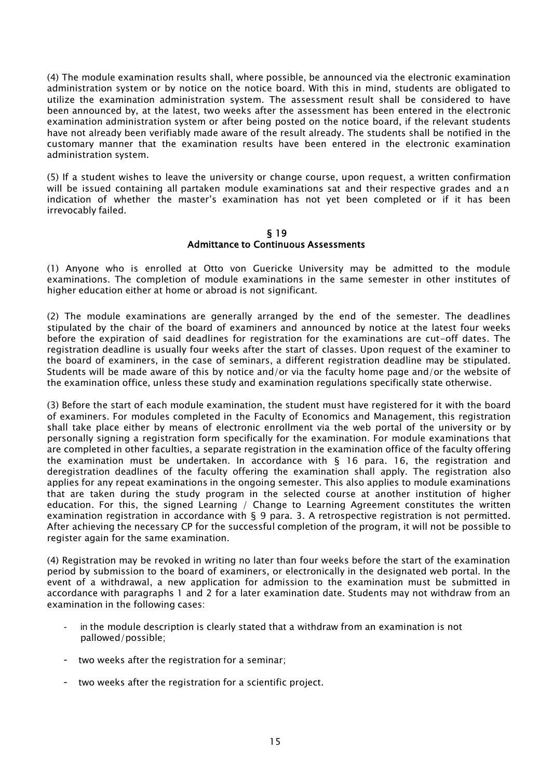(4) The module examination results shall, where possible, be announced via the electronic examination administration system or by notice on the notice board. With this in mind, students are obligated to utilize the examination administration system. The assessment result shall be considered to have been announced by, at the latest, two weeks after the assessment has been entered in the electronic examination administration system or after being posted on the notice board, if the relevant students have not already been verifiably made aware of the result already. The students shall be notified in the customary manner that the examination results have been entered in the electronic examination administration system.

(5) If a student wishes to leave the university or change course, upon request, a written confirmation will be issued containing all partaken module examinations sat and their respective grades and a n indication of whether the master's examination has not yet been completed or if it has been irrevocably failed.

#### § 19 Admittance to Continuous Assessments

(1) Anyone who is enrolled at Otto von Guericke University may be admitted to the module examinations. The completion of module examinations in the same semester in other institutes of higher education either at home or abroad is not significant.

(2) The module examinations are generally arranged by the end of the semester. The deadlines stipulated by the chair of the board of examiners and announced by notice at the latest four weeks before the expiration of said deadlines for registration for the examinations are cut-off dates. The registration deadline is usually four weeks after the start of classes. Upon request of the examiner to the board of examiners, in the case of seminars, a different registration deadline may be stipulated. Students will be made aware of this by notice and/or via the faculty home page and/or the website of the examination office, unless these study and examination regulations specifically state otherwise.

(3) Before the start of each module examination, the student must have registered for it with the board of examiners. For modules completed in the Faculty of Economics and Management, this registration shall take place either by means of electronic enrollment via the web portal of the university or by personally signing a registration form specifically for the examination. For module examinations that are completed in other faculties, a separate registration in the examination office of the faculty offering the examination must be undertaken. In accordance with  $\S$  16 para. 16, the registration and deregistration deadlines of the faculty offering the examination shall apply. The registration also applies for any repeat examinations in the ongoing semester. This also applies to module examinations that are taken during the study program in the selected course at another institution of higher education. For this, the signed Learning / Change to Learning Agreement constitutes the written examination registration in accordance with  $\S$  9 para. 3. A retrospective registration is not permitted. After achieving the necessary CP for the successful completion of the program, it will not be possible to register again for the same examination.

(4) Registration may be revoked in writing no later than four weeks before the start of the examination period by submission to the board of examiners, or electronically in the designated web portal. In the event of a withdrawal, a new application for admission to the examination must be submitted in accordance with paragraphs 1 and 2 for a later examination date. Students may not withdraw from an examination in the following cases:

- in the module description is clearly stated that a withdraw from an examination is not pallowed/possible;
- two weeks after the registration for a seminar;
- two weeks after the registration for a scientific project.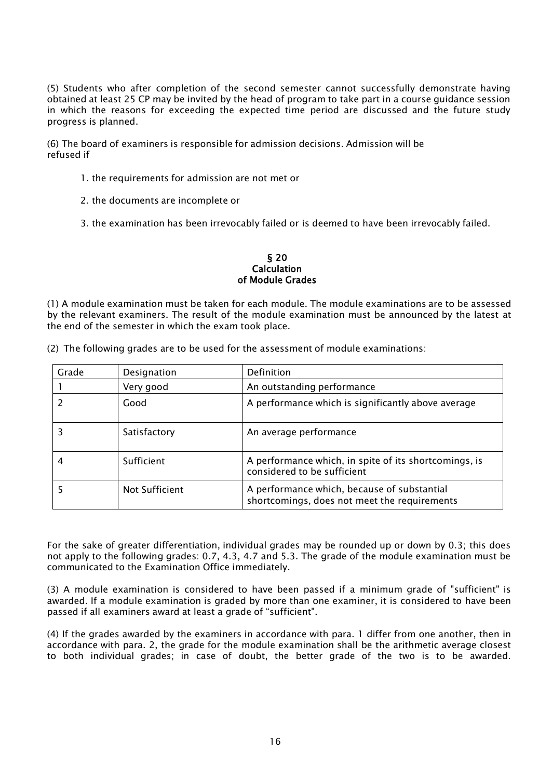(5) Students who after completion of the second semester cannot successfully demonstrate having obtained at least 25 CP may be invited by the head of program to take part in a course guidance session in which the reasons for exceeding the expected time period are discussed and the future study progress is planned.

(6) The board of examiners is responsible for admission decisions. Admission will be refused if

- 1. the requirements for admission are not met or
- 2. the documents are incomplete or

3. the examination has been irrevocably failed or is deemed to have been irrevocably failed.

#### § 20 Calculation of Module Grades

(1) A module examination must be taken for each module. The module examinations are to be assessed by the relevant examiners. The result of the module examination must be announced by the latest at the end of the semester in which the exam took place.

|       |              | $\epsilon$ ) דווכ וטווטשוווץ קומעכא מוכ נט טכ טאכט וטר נווכ מאגכאאוווכות טר וווטעטוכ כאמווווומנוטווא. |
|-------|--------------|-------------------------------------------------------------------------------------------------------|
| Grade | Designation  | Definition                                                                                            |
|       | Very good    | An outstanding performance                                                                            |
|       | Good         | A performance which is significantly above average                                                    |
|       | Satisfactory | An average performance                                                                                |
|       | Sufficient   | A performance which, in spite of its shortcomings, is<br>considered to be sufficient                  |

5 Not Sufficient A performance which, because of substantial

(2) The following grades are to be used for the assessment of module examinations:

For the sake of greater differentiation, individual grades may be rounded up or down by 0.3; this does not apply to the following grades: 0.7, 4.3, 4.7 and 5.3. The grade of the module examination must be communicated to the Examination Office immediately.

shortcomings, does not meet the requirements

(3) A module examination is considered to have been passed if a minimum grade of "sufficient" is awarded. If a module examination is graded by more than one examiner, it is considered to have been passed if all examiners award at least a grade of "sufficient".

(4) If the grades awarded by the examiners in accordance with para. 1 differ from one another, then in accordance with para. 2, the grade for the module examination shall be the arithmetic average closest to both individual grades; in case of doubt, the better grade of the two is to be awarded.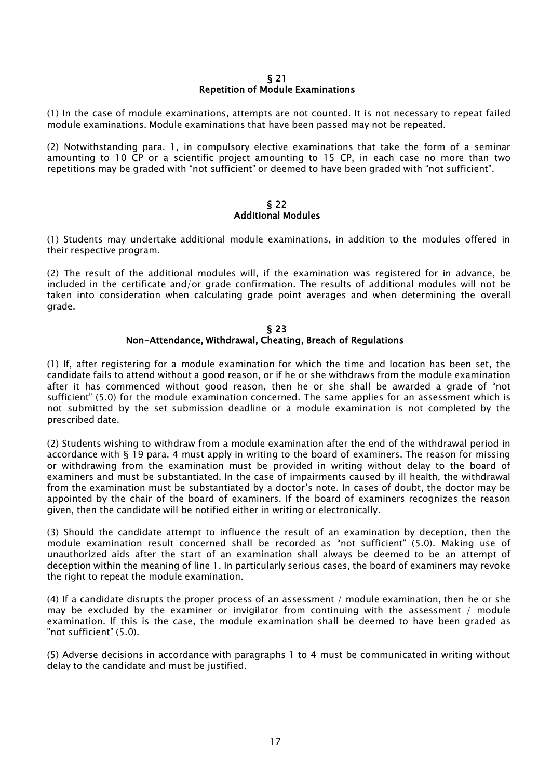### § 21 Repetition of Module Examinations

(1) In the case of module examinations, attempts are not counted. It is not necessary to repeat failed module examinations. Module examinations that have been passed may not be repeated.

(2) Notwithstanding para. 1, in compulsory elective examinations that take the form of a seminar amounting to 10 CP or a scientific project amounting to 15 CP, in each case no more than two repetitions may be graded with "not sufficient" or deemed to have been graded with "not sufficient".

### § 22 Additional Modules

(1) Students may undertake additional module examinations, in addition to the modules offered in their respective program.

(2) The result of the additional modules will, if the examination was registered for in advance, be included in the certificate and/or grade confirmation. The results of additional modules will not be taken into consideration when calculating grade point averages and when determining the overall grade.

### § 23 Non-Attendance, Withdrawal, Cheating, Breach of Regulations

(1) If, after registering for a module examination for which the time and location has been set, the candidate fails to attend without a good reason, or if he or she withdraws from the module examination after it has commenced without good reason, then he or she shall be awarded a grade of "not sufficient" (5.0) for the module examination concerned. The same applies for an assessment which is not submitted by the set submission deadline or a module examination is not completed by the prescribed date.

(2) Students wishing to withdraw from a module examination after the end of the withdrawal period in accordance with § 19 para. 4 must apply in writing to the board of examiners. The reason for missing or withdrawing from the examination must be provided in writing without delay to the board of examiners and must be substantiated. In the case of impairments caused by ill health, the withdrawal from the examination must be substantiated by a doctor's note. In cases of doubt, the doctor may be appointed by the chair of the board of examiners. If the board of examiners recognizes the reason given, then the candidate will be notified either in writing or electronically.

(3) Should the candidate attempt to influence the result of an examination by deception, then the module examination result concerned shall be recorded as "not sufficient" (5.0). Making use of unauthorized aids after the start of an examination shall always be deemed to be an attempt of deception within the meaning of line 1. In particularly serious cases, the board of examiners may revoke the right to repeat the module examination.

(4) If a candidate disrupts the proper process of an assessment / module examination, then he or she may be excluded by the examiner or invigilator from continuing with the assessment / module examination. If this is the case, the module examination shall be deemed to have been graded as "not sufficient" (5.0).

(5) Adverse decisions in accordance with paragraphs 1 to 4 must be communicated in writing without delay to the candidate and must be justified.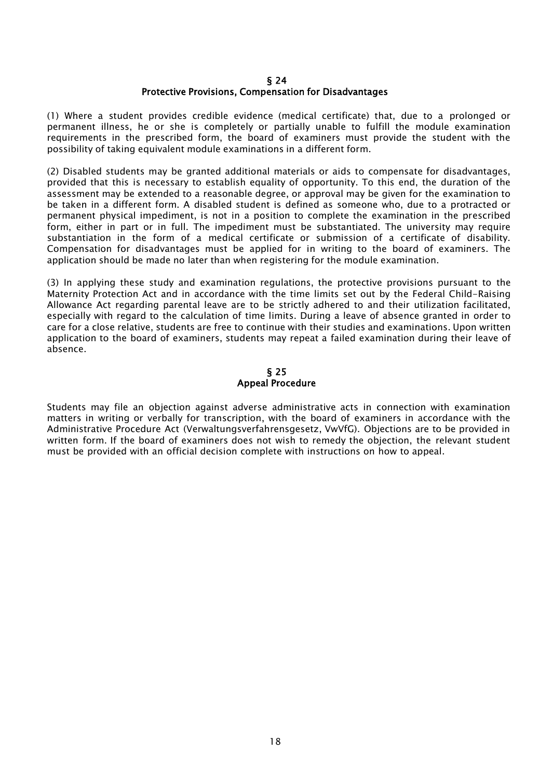### § 24 Protective Provisions, Compensation for Disadvantages

(1) Where a student provides credible evidence (medical certificate) that, due to a prolonged or permanent illness, he or she is completely or partially unable to fulfill the module examination requirements in the prescribed form, the board of examiners must provide the student with the possibility of taking equivalent module examinations in a different form.

(2) Disabled students may be granted additional materials or aids to compensate for disadvantages, provided that this is necessary to establish equality of opportunity. To this end, the duration of the assessment may be extended to a reasonable degree, or approval may be given for the examination to be taken in a different form. A disabled student is defined as someone who, due to a protracted or permanent physical impediment, is not in a position to complete the examination in the prescribed form, either in part or in full. The impediment must be substantiated. The university may require substantiation in the form of a medical certificate or submission of a certificate of disability. Compensation for disadvantages must be applied for in writing to the board of examiners. The application should be made no later than when registering for the module examination.

(3) In applying these study and examination regulations, the protective provisions pursuant to the Maternity Protection Act and in accordance with the time limits set out by the Federal Child-Raising Allowance Act regarding parental leave are to be strictly adhered to and their utilization facilitated, especially with regard to the calculation of time limits. During a leave of absence granted in order to care for a close relative, students are free to continue with their studies and examinations. Upon written application to the board of examiners, students may repeat a failed examination during their leave of absence.

## § 25 Appeal Procedure

Students may file an objection against adverse administrative acts in connection with examination matters in writing or verbally for transcription, with the board of examiners in accordance with the Administrative Procedure Act (Verwaltungsverfahrensgesetz, VwVfG). Objections are to be provided in written form. If the board of examiners does not wish to remedy the objection, the relevant student must be provided with an official decision complete with instructions on how to appeal.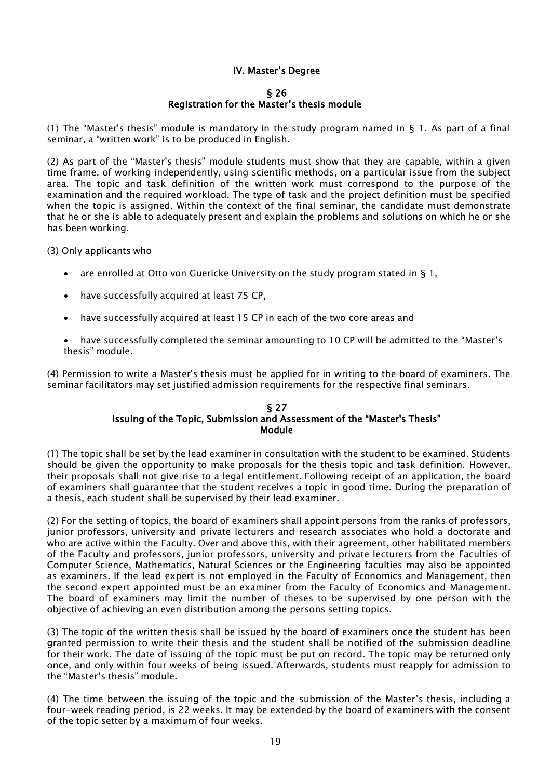## IV. Master's Degree

## § 26

## Registration for the Master's thesis module

(1) The "Master's thesis" module is mandatory in the study program named in § 1. As part of a final seminar, a "written work" is to be produced in English.

(2) As part of the "Master's thesis" module students must show that they are capable, within a given time frame, of working independently, using scientific methods, on a particular issue from the subject area. The topic and task definition of the written work must correspond to the purpose of the examination and the required workload. The type of task and the project definition must be specified when the topic is assigned. Within the context of the final seminar, the candidate must demonstrate that he or she is able to adequately present and explain the problems and solutions on which he or she has been working.

(3) Only applicants who

- are enrolled at Otto von Guericke University on the study program stated in § 1,
- have successfully acquired at least 75 CP,
- have successfully acquired at least 15 CP in each of the two core areas and
- have successfully completed the seminar amounting to 10 CP will be admitted to the "Master's thesis" module.

(4) Permission to write a Master's thesis must be applied for in writing to the board of examiners. The seminar facilitators may set justified admission requirements for the respective final seminars.

#### § 27 Issuing of the Topic, Submission and Assessment of the "Master's Thesis" Module

(1) The topic shall be set by the lead examiner in consultation with the student to be examined. Students should be given the opportunity to make proposals for the thesis topic and task definition. However, their proposals shall not give rise to a legal entitlement. Following receipt of an application, the board of examiners shall guarantee that the student receives a topic in good time. During the preparation of a thesis, each student shall be supervised by their lead examiner.

(2) For the setting of topics, the board of examiners shall appoint persons from the ranks of professors, junior professors, university and private lecturers and research associates who hold a doctorate and who are active within the Faculty. Over and above this, with their agreement, other habilitated members of the Faculty and professors, junior professors, university and private lecturers from the Faculties of Computer Science, Mathematics, Natural Sciences or the Engineering faculties may also be appointed as examiners. If the lead expert is not employed in the Faculty of Economics and Management, then the second expert appointed must be an examiner from the Faculty of Economics and Management. The board of examiners may limit the number of theses to be supervised by one person with the objective of achieving an even distribution among the persons setting topics.

(3) The topic of the written thesis shall be issued by the board of examiners once the student has been granted permission to write their thesis and the student shall be notified of the submission deadline for their work. The date of issuing of the topic must be put on record. The topic may be returned only once, and only within four weeks of being issued. Afterwards, students must reapply for admission to the "Master's thesis" module.

(4) The time between the issuing of the topic and the submission of the Master's thesis, including a four-week reading period, is 22 weeks. It may be extended by the board of examiners with the consent of the topic setter by a maximum of four weeks.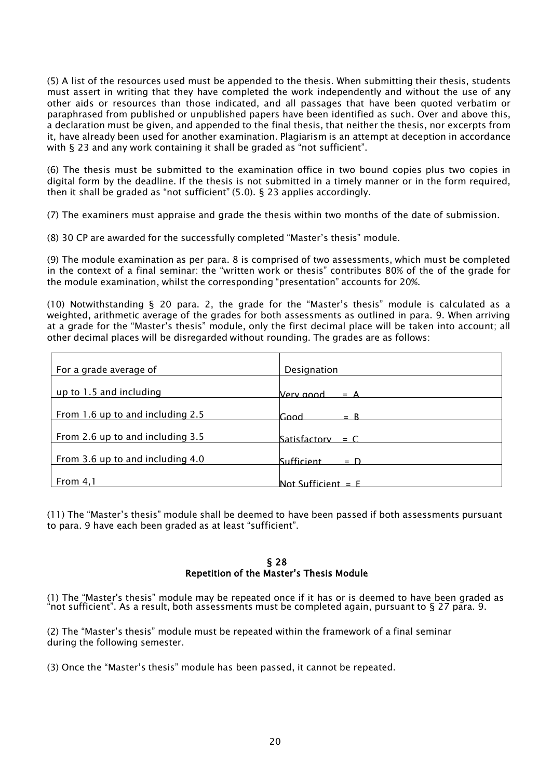(5) A list of the resources used must be appended to the thesis. When submitting their thesis, students must assert in writing that they have completed the work independently and without the use of any other aids or resources than those indicated, and all passages that have been quoted verbatim or paraphrased from published or unpublished papers have been identified as such. Over and above this, a declaration must be given, and appended to the final thesis, that neither the thesis, nor excerpts from it, have already been used for another examination. Plagiarism is an attempt at deception in accordance with § 23 and any work containing it shall be graded as "not sufficient".

(6) The thesis must be submitted to the examination office in two bound copies plus two copies in digital form by the deadline. If the thesis is not submitted in a timely manner or in the form required, then it shall be graded as "not sufficient" (5.0). § 23 applies accordingly.

(7) The examiners must appraise and grade the thesis within two months of the date of submission.

(8) 30 CP are awarded for the successfully completed "Master's thesis" module.

(9) The module examination as per para. 8 is comprised of two assessments, which must be completed in the context of a final seminar: the "written work or thesis" contributes 80% of the of the grade for the module examination, whilst the corresponding "presentation" accounts for 20%.

(10) Notwithstanding § 20 para. 2, the grade for the "Master's thesis" module is calculated as a weighted, arithmetic average of the grades for both assessments as outlined in para. 9. When arriving at a grade for the "Master's thesis" module, only the first decimal place will be taken into account; all other decimal places will be disregarded without rounding. The grades are as follows:

| For a grade average of           | Designation                |
|----------------------------------|----------------------------|
| up to 1.5 and including          | Verv annd<br>$= A$         |
| From 1.6 up to and including 2.5 | Good<br>$= R$              |
| From 2.6 up to and including 3.5 | Satisfactory = $C$         |
| From 3.6 up to and including 4.0 | <b>Sufficient</b><br>$= D$ |
|                                  |                            |
| From 4, 1                        | Not Sufficient $=$ F       |

(11) The "Master's thesis" module shall be deemed to have been passed if both assessments pursuant to para. 9 have each been graded as at least "sufficient".

### § 28 Repetition of the Master's Thesis Module

(1) The "Master's thesis" module may be repeated once if it has or is deemed to have been graded as "not sufficient". As a result, both assessments must be completed again, pursuant to § 27 para. 9.

(2) The "Master's thesis" module must be repeated within the framework of a final seminar during the following semester.

(3) Once the "Master's thesis" module has been passed, it cannot be repeated.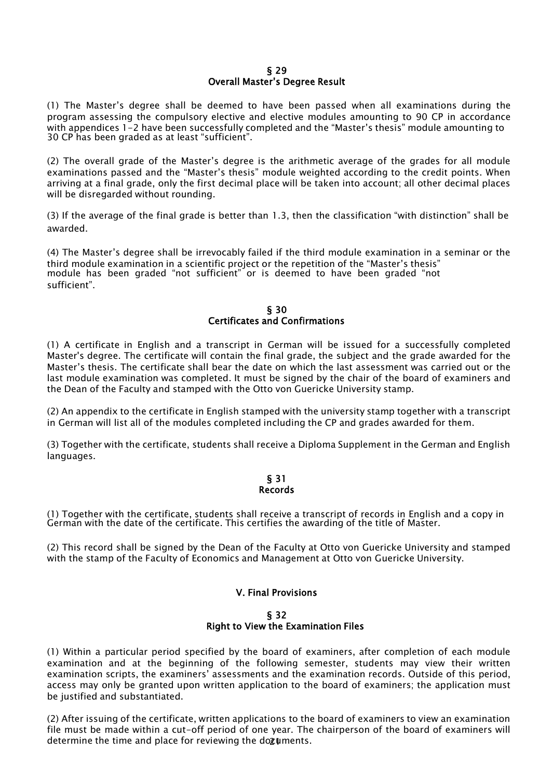### § 29 Overall Master's Degree Result

(1) The Master's degree shall be deemed to have been passed when all examinations during the program assessing the compulsory elective and elective modules amounting to 90 CP in accordance with appendices 1-2 have been successfully completed and the "Master's thesis" module amounting to 30 CP has been graded as at least "sufficient".

(2) The overall grade of the Master's degree is the arithmetic average of the grades for all module examinations passed and the "Master's thesis" module weighted according to the credit points. When arriving at a final grade, only the first decimal place will be taken into account; all other decimal places will be disregarded without rounding.

(3) If the average of the final grade is better than 1.3, then the classification "with distinction" shall be awarded.

(4) The Master's degree shall be irrevocably failed if the third module examination in a seminar or the third module examination in a scientific project or the repetition of the "Master's thesis" module has been graded "not sufficient" or is deemed to have been graded "not sufficient".

## § 30 Certificates and Confirmations

(1) A certificate in English and a transcript in German will be issued for a successfully completed Master's degree. The certificate will contain the final grade, the subject and the grade awarded for the Master's thesis. The certificate shall bear the date on which the last assessment was carried out or the last module examination was completed. It must be signed by the chair of the board of examiners and the Dean of the Faculty and stamped with the Otto von Guericke University stamp.

(2) An appendix to the certificate in English stamped with the university stamp together with a transcript in German will list all of the modules completed including the CP and grades awarded for them.

(3) Together with the certificate, students shall receive a Diploma Supplement in the German and English languages.

### § 31 Records

(1) Together with the certificate, students shall receive a transcript of records in English and a copy in German with the date of the certificate. This certifies the awarding of the title of Master.

(2) This record shall be signed by the Dean of the Faculty at Otto von Guericke University and stamped with the stamp of the Faculty of Economics and Management at Otto von Guericke University.

## V. Final Provisions

### § 32 Right to View the Examination Files

(1) Within a particular period specified by the board of examiners, after completion of each module examination and at the beginning of the following semester, students may view their written examination scripts, the examiners' assessments and the examination records. Outside of this period, access may only be granted upon written application to the board of examiners; the application must be justified and substantiated.

determine the time and place for reviewing the dozuments. (2) After issuing of the certificate, written applications to the board of examiners to view an examination file must be made within a cut-off period of one year. The chairperson of the board of examiners will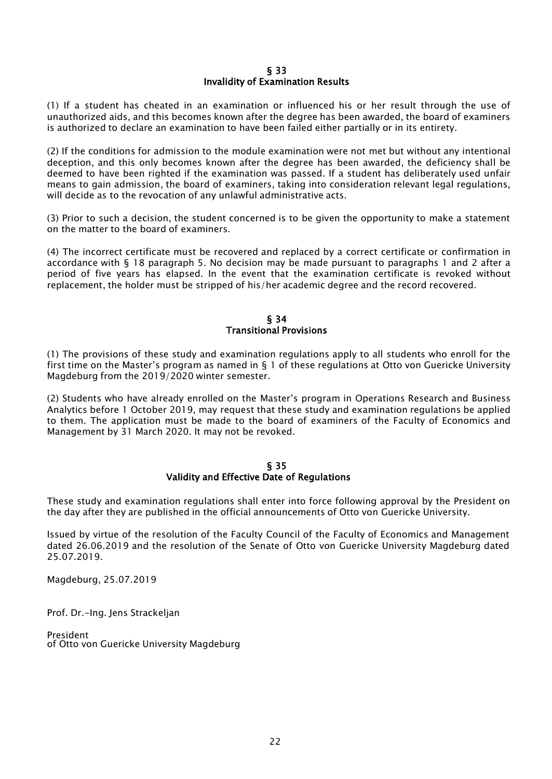### § 33 Invalidity of Examination Results

(1) If a student has cheated in an examination or influenced his or her result through the use of unauthorized aids, and this becomes known after the degree has been awarded, the board of examiners is authorized to declare an examination to have been failed either partially or in its entirety.

(2) If the conditions for admission to the module examination were not met but without any intentional deception, and this only becomes known after the degree has been awarded, the deficiency shall be deemed to have been righted if the examination was passed. If a student has deliberately used unfair means to gain admission, the board of examiners, taking into consideration relevant legal regulations, will decide as to the revocation of any unlawful administrative acts.

(3) Prior to such a decision, the student concerned is to be given the opportunity to make a statement on the matter to the board of examiners.

(4) The incorrect certificate must be recovered and replaced by a correct certificate or confirmation in accordance with § 18 paragraph 5. No decision may be made pursuant to paragraphs 1 and 2 after a period of five years has elapsed. In the event that the examination certificate is revoked without replacement, the holder must be stripped of his/her academic degree and the record recovered.

### § 34 Transitional Provisions

(1) The provisions of these study and examination regulations apply to all students who enroll for the first time on the Master's program as named in § 1 of these regulations at Otto von Guericke University Magdeburg from the 2019/2020 winter semester.

(2) Students who have already enrolled on the Master's program in Operations Research and Business Analytics before 1 October 2019, may request that these study and examination regulations be applied to them. The application must be made to the board of examiners of the Faculty of Economics and Management by 31 March 2020. It may not be revoked.

### § 35 Validity and Effective Date of Regulations

These study and examination regulations shall enter into force following approval by the President on the day after they are published in the official announcements of Otto von Guericke University.

Issued by virtue of the resolution of the Faculty Council of the Faculty of Economics and Management dated 26.06.2019 and the resolution of the Senate of Otto von Guericke University Magdeburg dated 25.07.2019.

Magdeburg, 25.07.2019

Prof. Dr.-Ing. Jens Strackeljan

President of Otto von Guericke University Magdeburg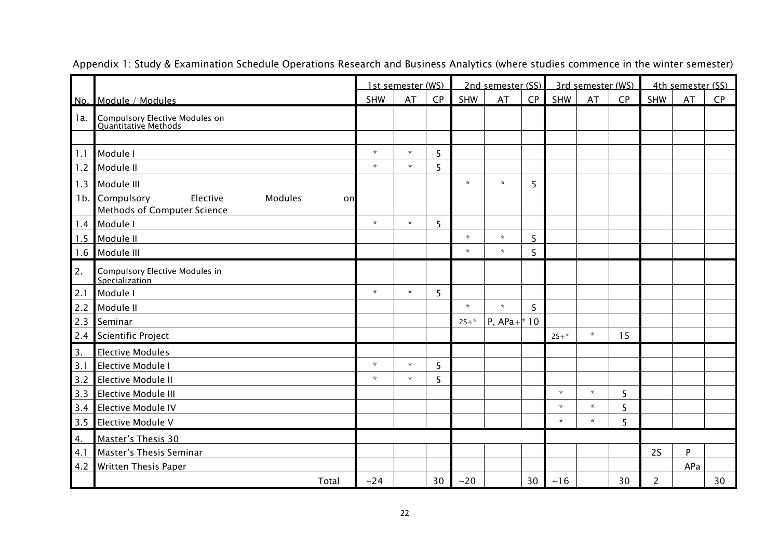|        |                                                                        | 1st semester (WS) |         | 2nd semester (SS) |         | 3rd semester (WS) |    |              | 4th semester (SS) |    |                |     |    |
|--------|------------------------------------------------------------------------|-------------------|---------|-------------------|---------|-------------------|----|--------------|-------------------|----|----------------|-----|----|
|        | No. Module / Modules                                                   | <b>SHW</b>        | AT      | CP                | SHW     | AT                | CP | SHW          | AT                | CP | SHW            | AT  | CP |
| 1a.    | Compulsory Elective Modules on<br>Quantitative Methods                 |                   |         |                   |         |                   |    |              |                   |    |                |     |    |
|        |                                                                        |                   |         |                   |         |                   |    |              |                   |    |                |     |    |
| 1.1    | Module I                                                               | $\star$           | $\star$ | 5                 |         |                   |    |              |                   |    |                |     |    |
| 1.2    | Module II                                                              | $\star$           | $\star$ | 5                 |         |                   |    |              |                   |    |                |     |    |
| 1.3    | Module III                                                             |                   |         |                   | $\star$ | $\star$           | 5  |              |                   |    |                |     |    |
| $1b$ . | Compulsory<br>Elective<br>Modules<br>on<br>Methods of Computer Science |                   |         |                   |         |                   |    |              |                   |    |                |     |    |
| 1.4    | Module I                                                               | $\star$           | $\star$ | 5                 |         |                   |    |              |                   |    |                |     |    |
| 1.5    | Module II                                                              |                   |         |                   | $\star$ | $\star$           | 5  |              |                   |    |                |     |    |
| 1.6    | Module III                                                             |                   |         |                   | $\star$ | $\star$           | 5  |              |                   |    |                |     |    |
| 2.     | <b>Compulsory Elective Modules in</b><br>Specialization                |                   |         |                   |         |                   |    |              |                   |    |                |     |    |
| 2.1    | Module I                                                               | $\star$           | $\star$ | 5                 |         |                   |    |              |                   |    |                |     |    |
| 2.2    | Module II                                                              |                   |         |                   | $\star$ | $\star$           | 5  |              |                   |    |                |     |    |
| 2.3    | Seminar                                                                |                   |         |                   | $2S+*$  | P, $APa+^*10$     |    |              |                   |    |                |     |    |
| 2.4    | <b>Scientific Project</b>                                              |                   |         |                   |         |                   |    | $25+*$       | $\star$           | 15 |                |     |    |
| 3.     | <b>Elective Modules</b>                                                |                   |         |                   |         |                   |    |              |                   |    |                |     |    |
| 3.1    | Elective Module I                                                      | $\star$           | $\star$ | 5                 |         |                   |    |              |                   |    |                |     |    |
| 3.2    | <b>Elective Module II</b>                                              | $\star$           | $\star$ | 5                 |         |                   |    |              |                   |    |                |     |    |
| 3.3    | Elective Module III                                                    |                   |         |                   |         |                   |    | $\star$      | $\star$           | 5  |                |     |    |
| 3.4    | <b>Elective Module IV</b>                                              |                   |         |                   |         |                   |    | $\mathbf{x}$ | $\star$           | 5  |                |     |    |
| 3.5    | Elective Module V                                                      |                   |         |                   |         |                   |    | $\star$      | $\star$           | 5  |                |     |    |
| 4.     | Master's Thesis 30                                                     |                   |         |                   |         |                   |    |              |                   |    |                |     |    |
| 4.1    | Master's Thesis Seminar                                                |                   |         |                   |         |                   |    |              |                   |    | 2S             | P   |    |
| 4.2    | <b>Written Thesis Paper</b>                                            |                   |         |                   |         |                   |    |              |                   |    |                | APa |    |
|        | Total                                                                  | ~24               |         | 30                | ~20     |                   | 30 | ~16          |                   | 30 | $\overline{2}$ |     | 30 |

Appendix 1: Study & Examination Schedule Operations Research and Business Analytics (where studies commence in the winter semester)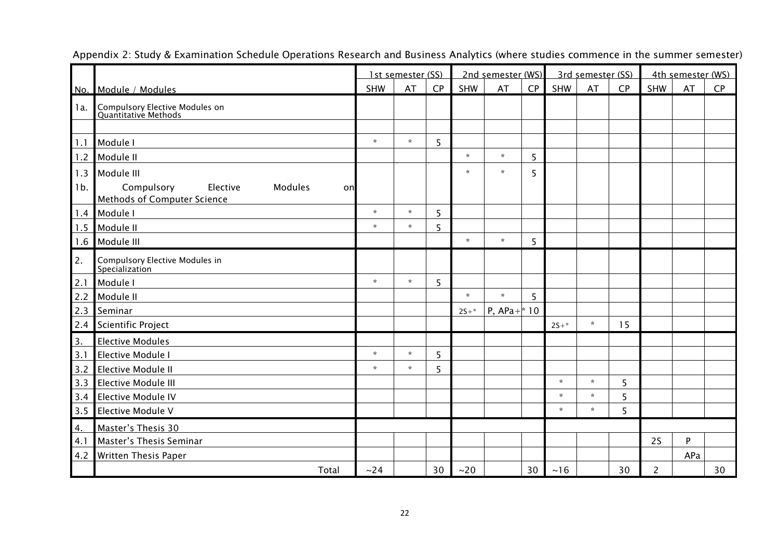|                  |                                                        | 1st semester (SS) |              | 2nd semester (WS) |            |               | 3rd semester (SS) |         |         | 4th semester (WS) |                |           |    |
|------------------|--------------------------------------------------------|-------------------|--------------|-------------------|------------|---------------|-------------------|---------|---------|-------------------|----------------|-----------|----|
|                  | No. Module / Modules                                   | SHW               | AT           | CP                | <b>SHW</b> | AT            | CP                | SHW     | AT      | CP                | SHW            | <b>AT</b> | CP |
| 1a.              | Compulsory Elective Modules on<br>Quantitative Methods |                   |              |                   |            |               |                   |         |         |                   |                |           |    |
| 1.1              | Module I                                               | $\star$           | $\mathbf{x}$ | 5                 |            |               |                   |         |         |                   |                |           |    |
| 1.2              | Module II                                              |                   |              |                   | $\star$    | $\star$       | 5                 |         |         |                   |                |           |    |
| 1.3<br>$1b$ .    | Module III<br>Compulsory<br>Elective<br>Modules<br>onl |                   |              |                   | $\star$    | $\star$       | 5                 |         |         |                   |                |           |    |
| 1.4              | <b>Methods of Computer Science</b><br>Module I         | $\star$           | $\star$      | 5                 |            |               |                   |         |         |                   |                |           |    |
| 1.5              | Module II                                              | $\star$           | $\star$      | 5                 |            |               |                   |         |         |                   |                |           |    |
| 1.6              | Module III                                             |                   |              |                   | $\star$    | $\star$       | 5                 |         |         |                   |                |           |    |
| 2.               | Compulsory Elective Modules in<br>Specialization       |                   |              |                   |            |               |                   |         |         |                   |                |           |    |
| 2.1              | Module I                                               | $\star$           | $\star$      | 5                 |            |               |                   |         |         |                   |                |           |    |
| 2.2              | Module II                                              |                   |              |                   | $\star$    | $\star$       | 5                 |         |         |                   |                |           |    |
| 2.3              | Seminar                                                |                   |              |                   | $2S+*$     | P, $APa+^*10$ |                   |         |         |                   |                |           |    |
| 2.4              | <b>Scientific Project</b>                              |                   |              |                   |            |               |                   | $2S+*$  | $\star$ | 15                |                |           |    |
| $\overline{3}$ . | <b>Elective Modules</b>                                |                   |              |                   |            |               |                   |         |         |                   |                |           |    |
| 3.1              | <b>Elective Module I</b>                               | $\star$           | $\star$      | 5                 |            |               |                   |         |         |                   |                |           |    |
| 3.2              | <b>Elective Module II</b>                              | $\star$           | $\star$      | 5                 |            |               |                   |         |         |                   |                |           |    |
| 3.3              | <b>Elective Module III</b>                             |                   |              |                   |            |               |                   | $\star$ | $\star$ | 5                 |                |           |    |
| 3.4              | <b>Elective Module IV</b>                              |                   |              |                   |            |               |                   | $\star$ | $\star$ | 5                 |                |           |    |
| 3.5              | Elective Module V                                      |                   |              |                   |            |               |                   | $\star$ | $\star$ | 5                 |                |           |    |
| 4.               | Master's Thesis 30                                     |                   |              |                   |            |               |                   |         |         |                   |                |           |    |
| 4.1              | Master's Thesis Seminar                                |                   |              |                   |            |               |                   |         |         |                   | 2S             | P         |    |
| 4.2              | <b>Written Thesis Paper</b>                            |                   |              |                   |            |               |                   |         |         |                   |                | APa       |    |
|                  | Total                                                  | ~24               |              | 30                | ~20        |               | 30                | ~16     |         | 30                | $\overline{2}$ |           | 30 |

Appendix 2: Study & Examination Schedule Operations Research and Business Analytics (where studies commence in the summer semester)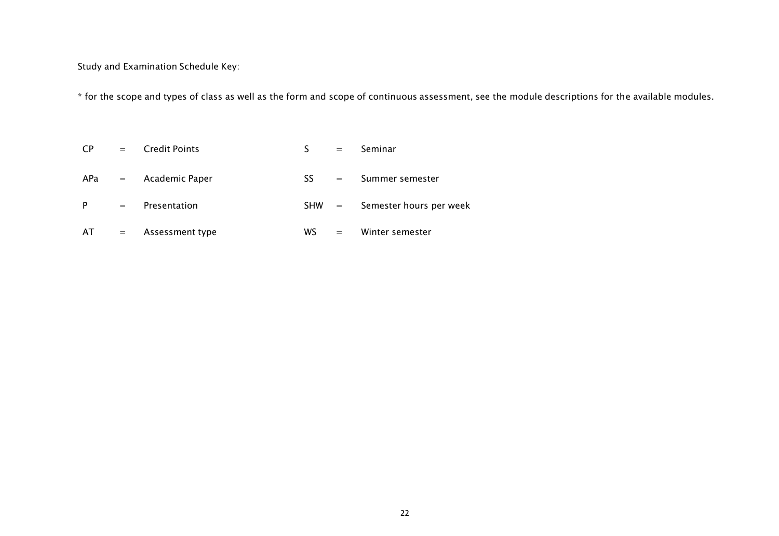Study and Examination Schedule Key:

\* for the scope and types of class as well as the form and scope of continuous assessment, see the module descriptions for the available modules.

| <b>CP</b> | $=$ $-$           | <b>Credit Points</b> |            | $=$                       | Seminar                 |
|-----------|-------------------|----------------------|------------|---------------------------|-------------------------|
| $APa =$   |                   | Academic Paper       | SS.        | $\mathbf{r} = \mathbf{r}$ | Summer semester         |
| P         | $\alpha = \alpha$ | Presentation         | <b>SHW</b> | $\alpha_{\rm c} = 0.000$  | Semester hours per week |
| AT.       | $\alpha = \alpha$ | Assessment type      | WS.        | $=$                       | Winter semester         |